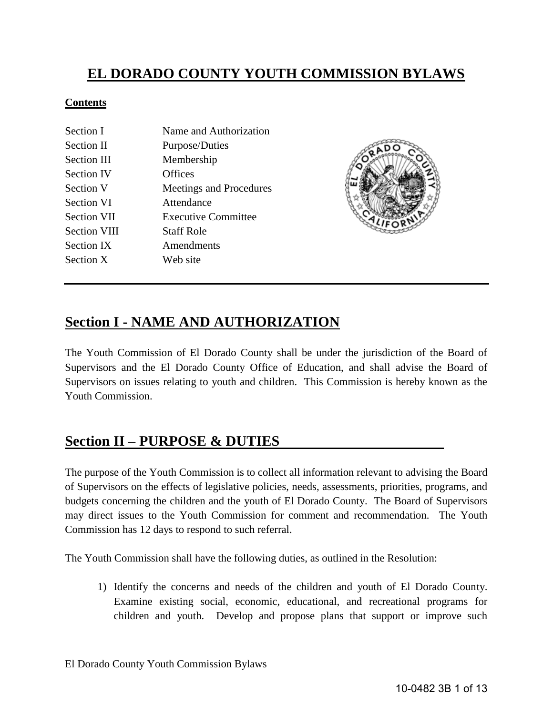## **EL DORADO COUNTY YOUTH COMMISSION BYLAWS**

#### **Contents**

| Section I           | Name and Authorization     |
|---------------------|----------------------------|
| Section II          | Purpose/Duties             |
| Section III         | Membership                 |
| <b>Section IV</b>   | Offices                    |
| Section V           | Meetings and Procedures    |
| Section VI          | Attendance                 |
| <b>Section VII</b>  | <b>Executive Committee</b> |
| <b>Section VIII</b> | <b>Staff Role</b>          |
| <b>Section IX</b>   | Amendments                 |
| Section X           | Web site                   |



### **Section I - NAME AND AUTHORIZATION**

The Youth Commission of El Dorado County shall be under the jurisdiction of the Board of Supervisors and the El Dorado County Office of Education, and shall advise the Board of Supervisors on issues relating to youth and children. This Commission is hereby known as the Youth Commission.

### **Section II – PURPOSE & DUTIES**

The purpose of the Youth Commission is to collect all information relevant to advising the Board of Supervisors on the effects of legislative policies, needs, assessments, priorities, programs, and budgets concerning the children and the youth of El Dorado County. The Board of Supervisors may direct issues to the Youth Commission for comment and recommendation. The Youth Commission has 12 days to respond to such referral.

The Youth Commission shall have the following duties, as outlined in the Resolution:

1) Identify the concerns and needs of the children and youth of El Dorado County. Examine existing social, economic, educational, and recreational programs for children and youth. Develop and propose plans that support or improve such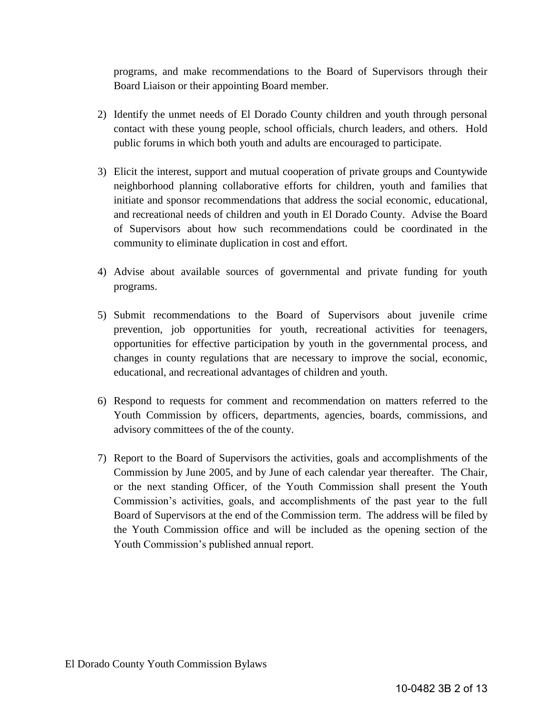programs, and make recommendations to the Board of Supervisors through their Board Liaison or their appointing Board member.

- 2) Identify the unmet needs of El Dorado County children and youth through personal contact with these young people, school officials, church leaders, and others. Hold public forums in which both youth and adults are encouraged to participate.
- 3) Elicit the interest, support and mutual cooperation of private groups and Countywide neighborhood planning collaborative efforts for children, youth and families that initiate and sponsor recommendations that address the social economic, educational, and recreational needs of children and youth in El Dorado County. Advise the Board of Supervisors about how such recommendations could be coordinated in the community to eliminate duplication in cost and effort.
- 4) Advise about available sources of governmental and private funding for youth programs.
- 5) Submit recommendations to the Board of Supervisors about juvenile crime prevention, job opportunities for youth, recreational activities for teenagers, opportunities for effective participation by youth in the governmental process, and changes in county regulations that are necessary to improve the social, economic, educational, and recreational advantages of children and youth.
- 6) Respond to requests for comment and recommendation on matters referred to the Youth Commission by officers, departments, agencies, boards, commissions, and advisory committees of the of the county.
- 7) Report to the Board of Supervisors the activities, goals and accomplishments of the Commission by June 2005, and by June of each calendar year thereafter. The Chair, or the next standing Officer, of the Youth Commission shall present the Youth Commission's activities, goals, and accomplishments of the past year to the full Board of Supervisors at the end of the Commission term. The address will be filed by the Youth Commission office and will be included as the opening section of the Youth Commission's published annual report.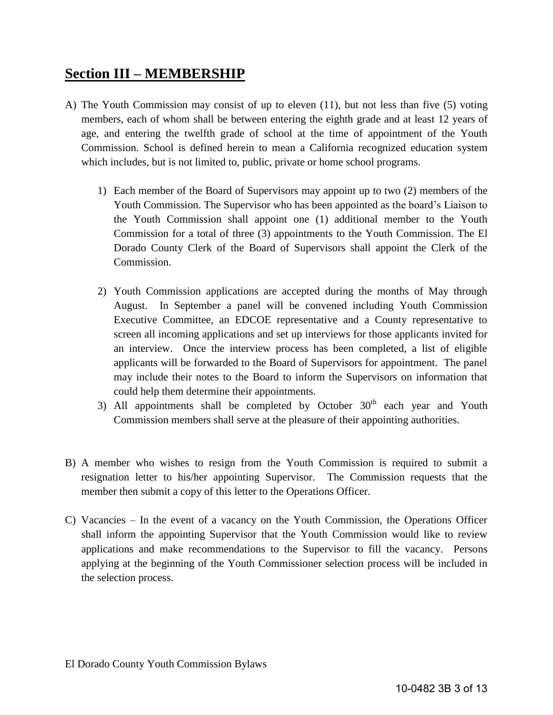## **Section III – MEMBERSHIP**

- A) The Youth Commission may consist of up to eleven (11), but not less than five (5) voting members, each of whom shall be between entering the eighth grade and at least 12 years of age, and entering the twelfth grade of school at the time of appointment of the Youth Commission. School is defined herein to mean a California recognized education system which includes, but is not limited to, public, private or home school programs.
	- 1) Each member of the Board of Supervisors may appoint up to two (2) members of the Youth Commission. The Supervisor who has been appointed as the board's Liaison to the Youth Commission shall appoint one (1) additional member to the Youth Commission for a total of three (3) appointments to the Youth Commission. The El Dorado County Clerk of the Board of Supervisors shall appoint the Clerk of the Commission.
	- 2) Youth Commission applications are accepted during the months of May through August. In September a panel will be convened including Youth Commission Executive Committee, an EDCOE representative and a County representative to screen all incoming applications and set up interviews for those applicants invited for an interview. Once the interview process has been completed, a list of eligible applicants will be forwarded to the Board of Supervisors for appointment. The panel may include their notes to the Board to inform the Supervisors on information that could help them determine their appointments.
	- 3) All appointments shall be completed by October  $30<sup>th</sup>$  each year and Youth Commission members shall serve at the pleasure of their appointing authorities.
- B) A member who wishes to resign from the Youth Commission is required to submit a resignation letter to his/her appointing Supervisor. The Commission requests that the member then submit a copy of this letter to the Operations Officer.
- C) Vacancies In the event of a vacancy on the Youth Commission, the Operations Officer shall inform the appointing Supervisor that the Youth Commission would like to review applications and make recommendations to the Supervisor to fill the vacancy. Persons applying at the beginning of the Youth Commissioner selection process will be included in the selection process.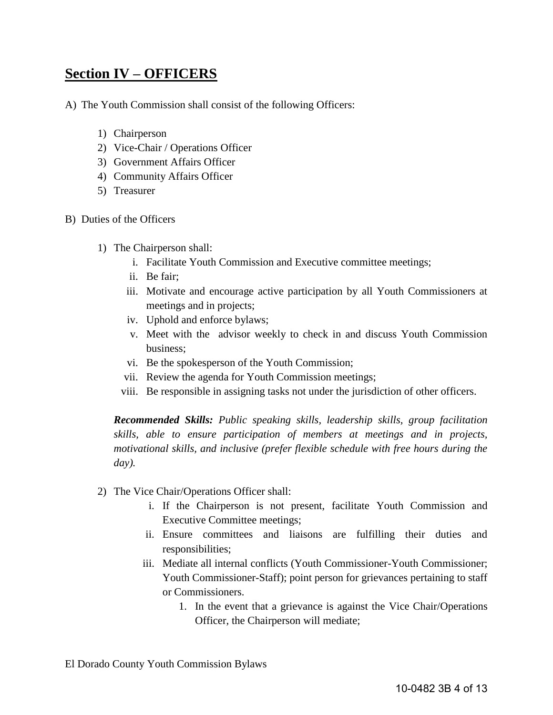## **Section IV – OFFICERS**

- A) The Youth Commission shall consist of the following Officers:
	- 1) Chairperson
	- 2) Vice-Chair / Operations Officer
	- 3) Government Affairs Officer
	- 4) Community Affairs Officer
	- 5) Treasurer
- B) Duties of the Officers
	- 1) The Chairperson shall:
		- i. Facilitate Youth Commission and Executive committee meetings;
		- ii. Be fair;
		- iii. Motivate and encourage active participation by all Youth Commissioners at meetings and in projects;
		- iv. Uphold and enforce bylaws;
		- v. Meet with the advisor weekly to check in and discuss Youth Commission business;
		- vi. Be the spokesperson of the Youth Commission;
		- vii. Review the agenda for Youth Commission meetings;
		- viii. Be responsible in assigning tasks not under the jurisdiction of other officers.

*Recommended Skills: Public speaking skills, leadership skills, group facilitation skills, able to ensure participation of members at meetings and in projects, motivational skills, and inclusive (prefer flexible schedule with free hours during the day).* 

- 2) The Vice Chair/Operations Officer shall:
	- i. If the Chairperson is not present, facilitate Youth Commission and Executive Committee meetings;
	- ii. Ensure committees and liaisons are fulfilling their duties and responsibilities;
	- iii. Mediate all internal conflicts (Youth Commissioner-Youth Commissioner; Youth Commissioner-Staff); point person for grievances pertaining to staff or Commissioners.
		- 1. In the event that a grievance is against the Vice Chair/Operations Officer, the Chairperson will mediate;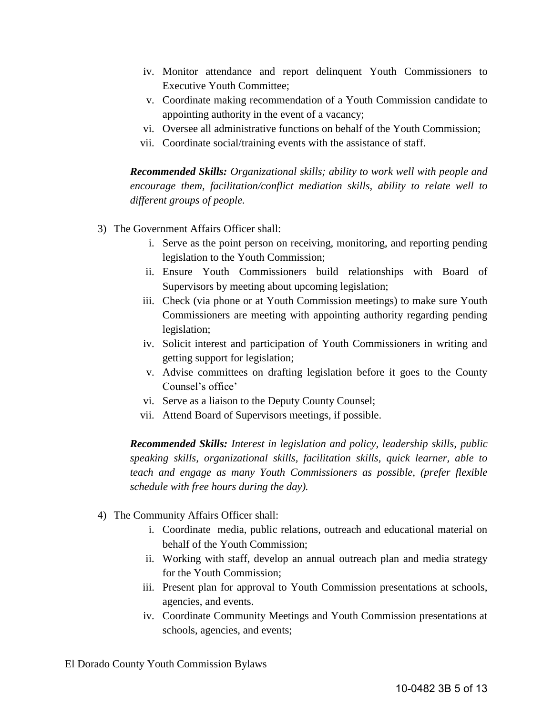- iv. Monitor attendance and report delinquent Youth Commissioners to Executive Youth Committee;
- v. Coordinate making recommendation of a Youth Commission candidate to appointing authority in the event of a vacancy;
- vi. Oversee all administrative functions on behalf of the Youth Commission;
- vii. Coordinate social/training events with the assistance of staff.

*Recommended Skills: Organizational skills; ability to work well with people and encourage them, facilitation/conflict mediation skills, ability to relate well to different groups of people.* 

- 3) The Government Affairs Officer shall:
	- i. Serve as the point person on receiving, monitoring, and reporting pending legislation to the Youth Commission;
	- ii. Ensure Youth Commissioners build relationships with Board of Supervisors by meeting about upcoming legislation;
	- iii. Check (via phone or at Youth Commission meetings) to make sure Youth Commissioners are meeting with appointing authority regarding pending legislation;
	- iv. Solicit interest and participation of Youth Commissioners in writing and getting support for legislation;
	- v. Advise committees on drafting legislation before it goes to the County Counsel's office'
	- vi. Serve as a liaison to the Deputy County Counsel;
	- vii. Attend Board of Supervisors meetings, if possible.

*Recommended Skills: Interest in legislation and policy, leadership skills, public speaking skills, organizational skills, facilitation skills, quick learner, able to teach and engage as many Youth Commissioners as possible, (prefer flexible schedule with free hours during the day).* 

- 4) The Community Affairs Officer shall:
	- i. Coordinate media, public relations, outreach and educational material on behalf of the Youth Commission;
	- ii. Working with staff, develop an annual outreach plan and media strategy for the Youth Commission;
	- iii. Present plan for approval to Youth Commission presentations at schools, agencies, and events.
	- iv. Coordinate Community Meetings and Youth Commission presentations at schools, agencies, and events;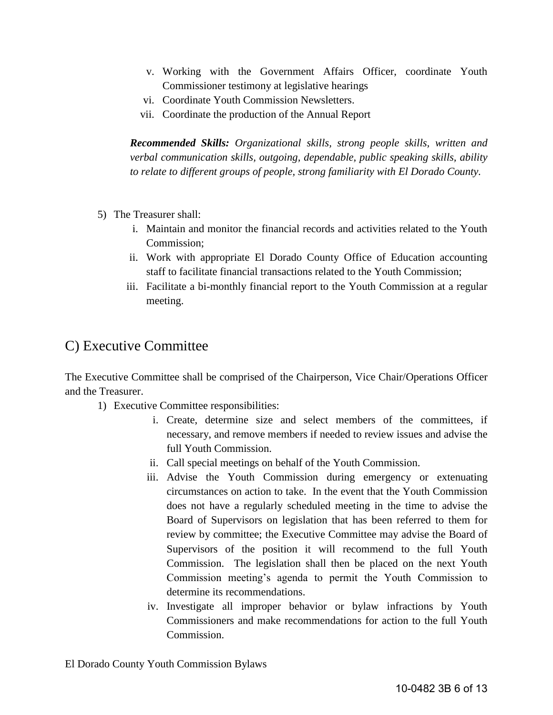- v. Working with the Government Affairs Officer, coordinate Youth Commissioner testimony at legislative hearings
- vi. Coordinate Youth Commission Newsletters.
- vii. Coordinate the production of the Annual Report

*Recommended Skills: Organizational skills, strong people skills, written and verbal communication skills, outgoing, dependable, public speaking skills, ability to relate to different groups of people, strong familiarity with El Dorado County.*

- 5) The Treasurer shall:
	- i. Maintain and monitor the financial records and activities related to the Youth Commission;
	- ii. Work with appropriate El Dorado County Office of Education accounting staff to facilitate financial transactions related to the Youth Commission;
	- iii. Facilitate a bi-monthly financial report to the Youth Commission at a regular meeting.

### C) Executive Committee

The Executive Committee shall be comprised of the Chairperson, Vice Chair/Operations Officer and the Treasurer.

- 1) Executive Committee responsibilities:
	- i. Create, determine size and select members of the committees, if necessary, and remove members if needed to review issues and advise the full Youth Commission.
	- ii. Call special meetings on behalf of the Youth Commission.
	- iii. Advise the Youth Commission during emergency or extenuating circumstances on action to take. In the event that the Youth Commission does not have a regularly scheduled meeting in the time to advise the Board of Supervisors on legislation that has been referred to them for review by committee; the Executive Committee may advise the Board of Supervisors of the position it will recommend to the full Youth Commission. The legislation shall then be placed on the next Youth Commission meeting's agenda to permit the Youth Commission to determine its recommendations.
	- iv. Investigate all improper behavior or bylaw infractions by Youth Commissioners and make recommendations for action to the full Youth Commission.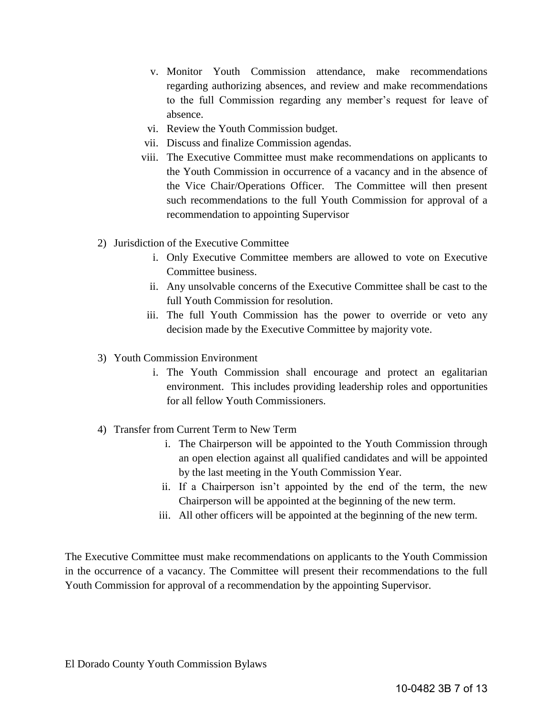- v. Monitor Youth Commission attendance, make recommendations regarding authorizing absences, and review and make recommendations to the full Commission regarding any member's request for leave of absence.
- vi. Review the Youth Commission budget.
- vii. Discuss and finalize Commission agendas.
- viii. The Executive Committee must make recommendations on applicants to the Youth Commission in occurrence of a vacancy and in the absence of the Vice Chair/Operations Officer. The Committee will then present such recommendations to the full Youth Commission for approval of a recommendation to appointing Supervisor
- 2) Jurisdiction of the Executive Committee
	- i. Only Executive Committee members are allowed to vote on Executive Committee business.
	- ii. Any unsolvable concerns of the Executive Committee shall be cast to the full Youth Commission for resolution.
	- iii. The full Youth Commission has the power to override or veto any decision made by the Executive Committee by majority vote.
- 3) Youth Commission Environment
	- i. The Youth Commission shall encourage and protect an egalitarian environment. This includes providing leadership roles and opportunities for all fellow Youth Commissioners.
- 4) Transfer from Current Term to New Term
	- i. The Chairperson will be appointed to the Youth Commission through an open election against all qualified candidates and will be appointed by the last meeting in the Youth Commission Year.
	- ii. If a Chairperson isn't appointed by the end of the term, the new Chairperson will be appointed at the beginning of the new term.
	- iii. All other officers will be appointed at the beginning of the new term.

The Executive Committee must make recommendations on applicants to the Youth Commission in the occurrence of a vacancy. The Committee will present their recommendations to the full Youth Commission for approval of a recommendation by the appointing Supervisor.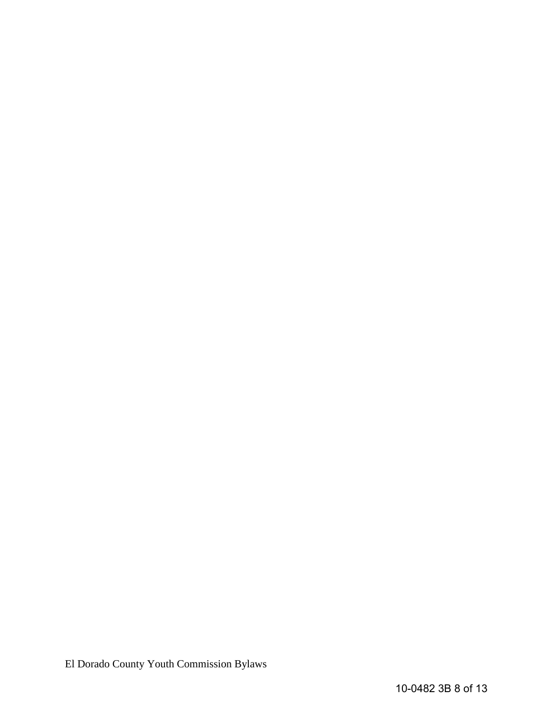El Dorado County Youth Commission Bylaws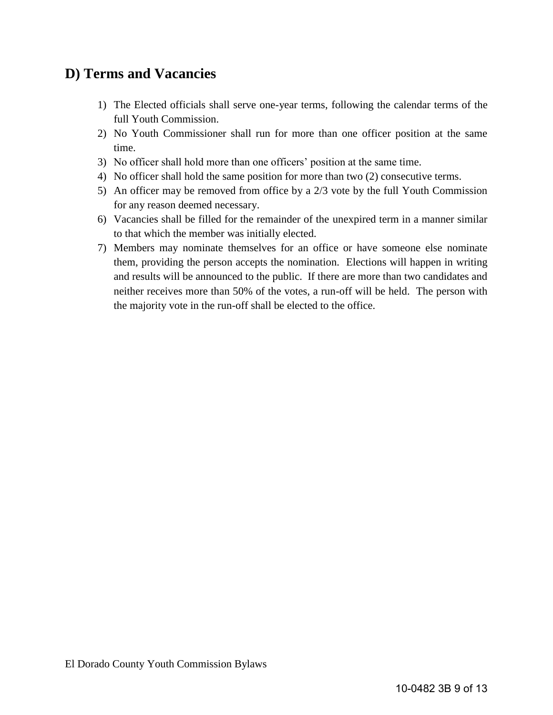## **D) Terms and Vacancies**

- 1) The Elected officials shall serve one-year terms, following the calendar terms of the full Youth Commission.
- 2) No Youth Commissioner shall run for more than one officer position at the same time.
- 3) No officer shall hold more than one officers' position at the same time.
- 4) No officer shall hold the same position for more than two (2) consecutive terms.
- 5) An officer may be removed from office by a 2/3 vote by the full Youth Commission for any reason deemed necessary.
- 6) Vacancies shall be filled for the remainder of the unexpired term in a manner similar to that which the member was initially elected.
- 7) Members may nominate themselves for an office or have someone else nominate them, providing the person accepts the nomination. Elections will happen in writing and results will be announced to the public. If there are more than two candidates and neither receives more than 50% of the votes, a run-off will be held. The person with the majority vote in the run-off shall be elected to the office.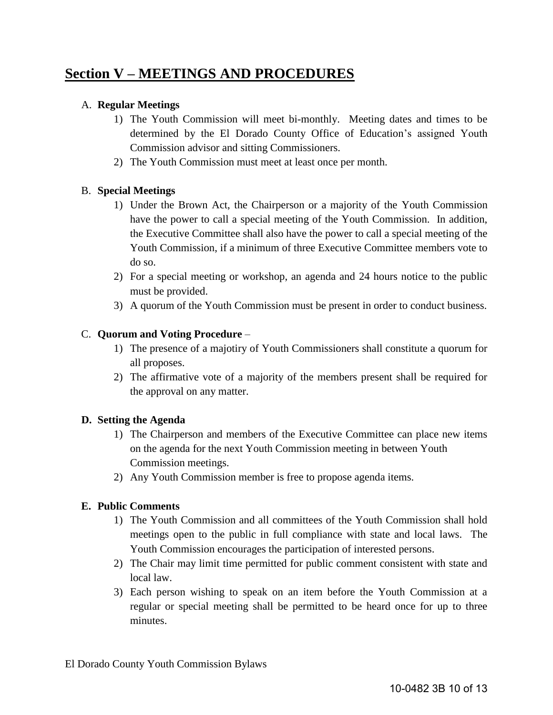### **Section V – MEETINGS AND PROCEDURES**

#### A. **Regular Meetings**

- 1) The Youth Commission will meet bi-monthly. Meeting dates and times to be determined by the El Dorado County Office of Education's assigned Youth Commission advisor and sitting Commissioners.
- 2) The Youth Commission must meet at least once per month.

#### B. **Special Meetings**

- 1) Under the Brown Act, the Chairperson or a majority of the Youth Commission have the power to call a special meeting of the Youth Commission. In addition, the Executive Committee shall also have the power to call a special meeting of the Youth Commission, if a minimum of three Executive Committee members vote to do so.
- 2) For a special meeting or workshop, an agenda and 24 hours notice to the public must be provided.
- 3) A quorum of the Youth Commission must be present in order to conduct business.

#### C. **Quorum and Voting Procedure** –

- 1) The presence of a majotiry of Youth Commissioners shall constitute a quorum for all proposes.
- 2) The affirmative vote of a majority of the members present shall be required for the approval on any matter.

#### **D. Setting the Agenda**

- 1) The Chairperson and members of the Executive Committee can place new items on the agenda for the next Youth Commission meeting in between Youth Commission meetings.
- 2) Any Youth Commission member is free to propose agenda items.

#### **E. Public Comments**

- 1) The Youth Commission and all committees of the Youth Commission shall hold meetings open to the public in full compliance with state and local laws. The Youth Commission encourages the participation of interested persons.
- 2) The Chair may limit time permitted for public comment consistent with state and local law.
- 3) Each person wishing to speak on an item before the Youth Commission at a regular or special meeting shall be permitted to be heard once for up to three minutes.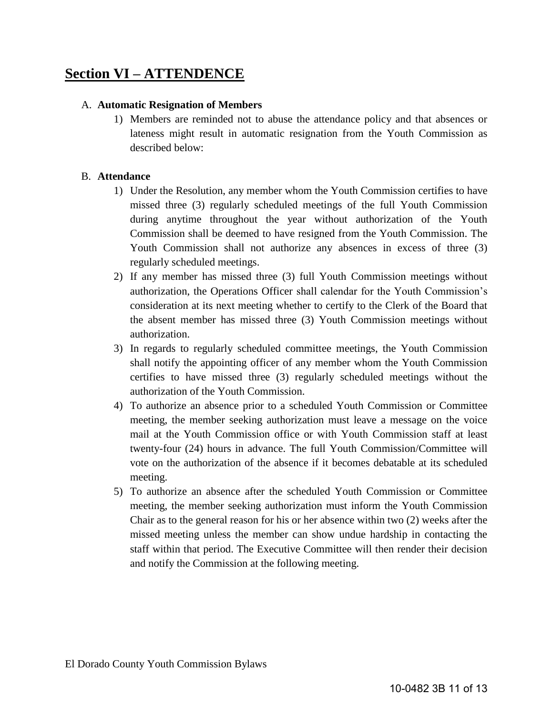## **Section VI – ATTENDENCE**

#### A. **Automatic Resignation of Members**

1) Members are reminded not to abuse the attendance policy and that absences or lateness might result in automatic resignation from the Youth Commission as described below:

#### B. **Attendance**

- 1) Under the Resolution, any member whom the Youth Commission certifies to have missed three (3) regularly scheduled meetings of the full Youth Commission during anytime throughout the year without authorization of the Youth Commission shall be deemed to have resigned from the Youth Commission. The Youth Commission shall not authorize any absences in excess of three (3) regularly scheduled meetings.
- 2) If any member has missed three (3) full Youth Commission meetings without authorization, the Operations Officer shall calendar for the Youth Commission's consideration at its next meeting whether to certify to the Clerk of the Board that the absent member has missed three (3) Youth Commission meetings without authorization.
- 3) In regards to regularly scheduled committee meetings, the Youth Commission shall notify the appointing officer of any member whom the Youth Commission certifies to have missed three (3) regularly scheduled meetings without the authorization of the Youth Commission.
- 4) To authorize an absence prior to a scheduled Youth Commission or Committee meeting, the member seeking authorization must leave a message on the voice mail at the Youth Commission office or with Youth Commission staff at least twenty-four (24) hours in advance. The full Youth Commission/Committee will vote on the authorization of the absence if it becomes debatable at its scheduled meeting.
- 5) To authorize an absence after the scheduled Youth Commission or Committee meeting, the member seeking authorization must inform the Youth Commission Chair as to the general reason for his or her absence within two (2) weeks after the missed meeting unless the member can show undue hardship in contacting the staff within that period. The Executive Committee will then render their decision and notify the Commission at the following meeting.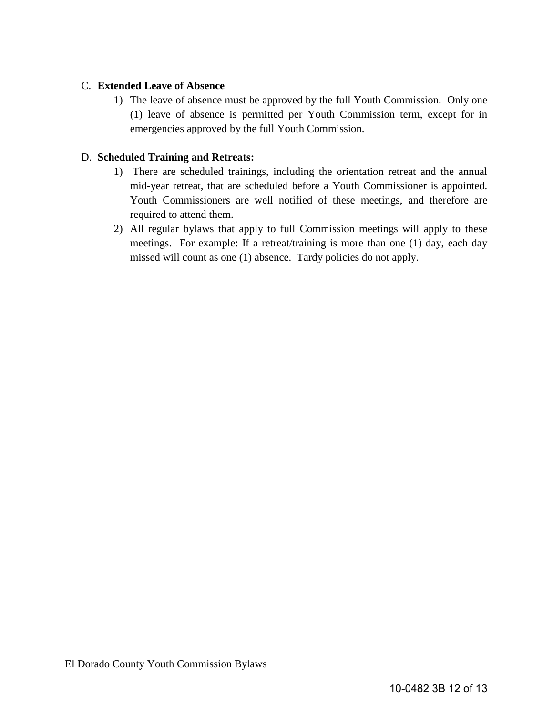#### C. **Extended Leave of Absence**

1) The leave of absence must be approved by the full Youth Commission. Only one (1) leave of absence is permitted per Youth Commission term, except for in emergencies approved by the full Youth Commission.

#### D. **Scheduled Training and Retreats:**

- 1) There are scheduled trainings, including the orientation retreat and the annual mid-year retreat, that are scheduled before a Youth Commissioner is appointed. Youth Commissioners are well notified of these meetings, and therefore are required to attend them.
- 2) All regular bylaws that apply to full Commission meetings will apply to these meetings. For example: If a retreat/training is more than one (1) day, each day missed will count as one (1) absence. Tardy policies do not apply.